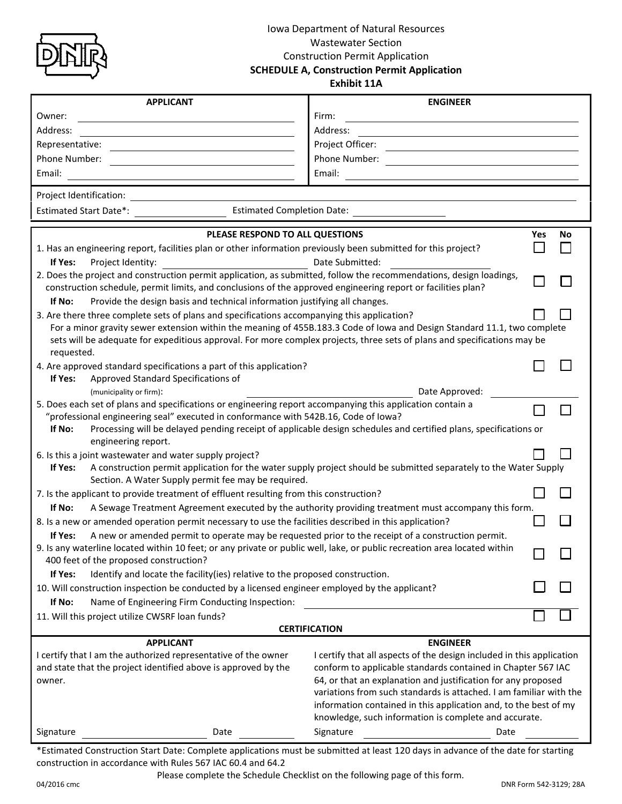

## Iowa Department of Natural Resources Wastewater Section Construction Permit Application **SCHEDULE A, Construction Permit Application**

**Exhibit 11A**

| <b>APPLICANT</b>                                                                                                                                                                                                                                                   | <b>ENGINEER</b>                                                                                                           |  |  |  |  |  |
|--------------------------------------------------------------------------------------------------------------------------------------------------------------------------------------------------------------------------------------------------------------------|---------------------------------------------------------------------------------------------------------------------------|--|--|--|--|--|
| Owner:                                                                                                                                                                                                                                                             | Firm:                                                                                                                     |  |  |  |  |  |
| Address:                                                                                                                                                                                                                                                           | Address:                                                                                                                  |  |  |  |  |  |
| Representative:                                                                                                                                                                                                                                                    | Project Officer:                                                                                                          |  |  |  |  |  |
| Phone Number:                                                                                                                                                                                                                                                      | Phone Number:                                                                                                             |  |  |  |  |  |
| Email:                                                                                                                                                                                                                                                             | Email:                                                                                                                    |  |  |  |  |  |
| Project Identification:<br><u> 1989 - Johann Barbara, martxa alemani</u> ar a                                                                                                                                                                                      |                                                                                                                           |  |  |  |  |  |
| <b>Estimated Completion Date:</b><br><b>Estimated Start Date*:</b>                                                                                                                                                                                                 |                                                                                                                           |  |  |  |  |  |
| PLEASE RESPOND TO ALL QUESTIONS<br>No<br>Yes                                                                                                                                                                                                                       |                                                                                                                           |  |  |  |  |  |
| 1. Has an engineering report, facilities plan or other information previously been submitted for this project?                                                                                                                                                     |                                                                                                                           |  |  |  |  |  |
| Date Submitted:<br>If Yes:<br>Project Identity:                                                                                                                                                                                                                    |                                                                                                                           |  |  |  |  |  |
| 2. Does the project and construction permit application, as submitted, follow the recommendations, design loadings,<br>construction schedule, permit limits, and conclusions of the approved engineering report or facilities plan?                                |                                                                                                                           |  |  |  |  |  |
| If No:<br>Provide the design basis and technical information justifying all changes.                                                                                                                                                                               |                                                                                                                           |  |  |  |  |  |
| 3. Are there three complete sets of plans and specifications accompanying this application?                                                                                                                                                                        |                                                                                                                           |  |  |  |  |  |
| For a minor gravity sewer extension within the meaning of 455B.183.3 Code of lowa and Design Standard 11.1, two complete<br>sets will be adequate for expeditious approval. For more complex projects, three sets of plans and specifications may be<br>requested. |                                                                                                                           |  |  |  |  |  |
| 4. Are approved standard specifications a part of this application?                                                                                                                                                                                                |                                                                                                                           |  |  |  |  |  |
| Approved Standard Specifications of<br>If Yes:                                                                                                                                                                                                                     |                                                                                                                           |  |  |  |  |  |
| Date Approved:<br>(municipality or firm):                                                                                                                                                                                                                          |                                                                                                                           |  |  |  |  |  |
| 5. Does each set of plans and specifications or engineering report accompanying this application contain a                                                                                                                                                         |                                                                                                                           |  |  |  |  |  |
| "professional engineering seal" executed in conformance with 542B.16, Code of Iowa?                                                                                                                                                                                |                                                                                                                           |  |  |  |  |  |
| Processing will be delayed pending receipt of applicable design schedules and certified plans, specifications or<br>If No:<br>engineering report.                                                                                                                  |                                                                                                                           |  |  |  |  |  |
| 6. Is this a joint wastewater and water supply project?                                                                                                                                                                                                            |                                                                                                                           |  |  |  |  |  |
| A construction permit application for the water supply project should be submitted separately to the Water Supply<br>If Yes:<br>Section. A Water Supply permit fee may be required.                                                                                |                                                                                                                           |  |  |  |  |  |
| 7. Is the applicant to provide treatment of effluent resulting from this construction?                                                                                                                                                                             |                                                                                                                           |  |  |  |  |  |
| If No:<br>A Sewage Treatment Agreement executed by the authority providing treatment must accompany this form.                                                                                                                                                     |                                                                                                                           |  |  |  |  |  |
| 8. Is a new or amended operation permit necessary to use the facilities described in this application?                                                                                                                                                             |                                                                                                                           |  |  |  |  |  |
| A new or amended permit to operate may be requested prior to the receipt of a construction permit.<br>If Yes:                                                                                                                                                      |                                                                                                                           |  |  |  |  |  |
| 9. Is any waterline located within 10 feet; or any private or public well, lake, or public recreation area located within<br>400 feet of the proposed construction?                                                                                                |                                                                                                                           |  |  |  |  |  |
| Identify and locate the facility(ies) relative to the proposed construction.<br>If Yes:                                                                                                                                                                            |                                                                                                                           |  |  |  |  |  |
| 10. Will construction inspection be conducted by a licensed engineer employed by the applicant?                                                                                                                                                                    |                                                                                                                           |  |  |  |  |  |
| If No:<br>Name of Engineering Firm Conducting Inspection:                                                                                                                                                                                                          |                                                                                                                           |  |  |  |  |  |
| 11. Will this project utilize CWSRF loan funds?                                                                                                                                                                                                                    |                                                                                                                           |  |  |  |  |  |
| <b>CERTIFICATION</b><br><b>APPLICANT</b><br><b>ENGINEER</b>                                                                                                                                                                                                        |                                                                                                                           |  |  |  |  |  |
| I certify that I am the authorized representative of the owner                                                                                                                                                                                                     | I certify that all aspects of the design included in this application                                                     |  |  |  |  |  |
| and state that the project identified above is approved by the                                                                                                                                                                                                     | conform to applicable standards contained in Chapter 567 IAC                                                              |  |  |  |  |  |
| owner.                                                                                                                                                                                                                                                             | 64, or that an explanation and justification for any proposed                                                             |  |  |  |  |  |
|                                                                                                                                                                                                                                                                    | variations from such standards is attached. I am familiar with the                                                        |  |  |  |  |  |
|                                                                                                                                                                                                                                                                    | information contained in this application and, to the best of my<br>knowledge, such information is complete and accurate. |  |  |  |  |  |
| Signature<br>Date                                                                                                                                                                                                                                                  | Signature<br>Date                                                                                                         |  |  |  |  |  |
|                                                                                                                                                                                                                                                                    |                                                                                                                           |  |  |  |  |  |

\*Estimated Construction Start Date: Complete applications must be submitted at least 120 days in advance of the date for starting construction in accordance with Rules 567 IAC 60.4 and 64.2

Please complete the Schedule Checklist on the following page of this form.